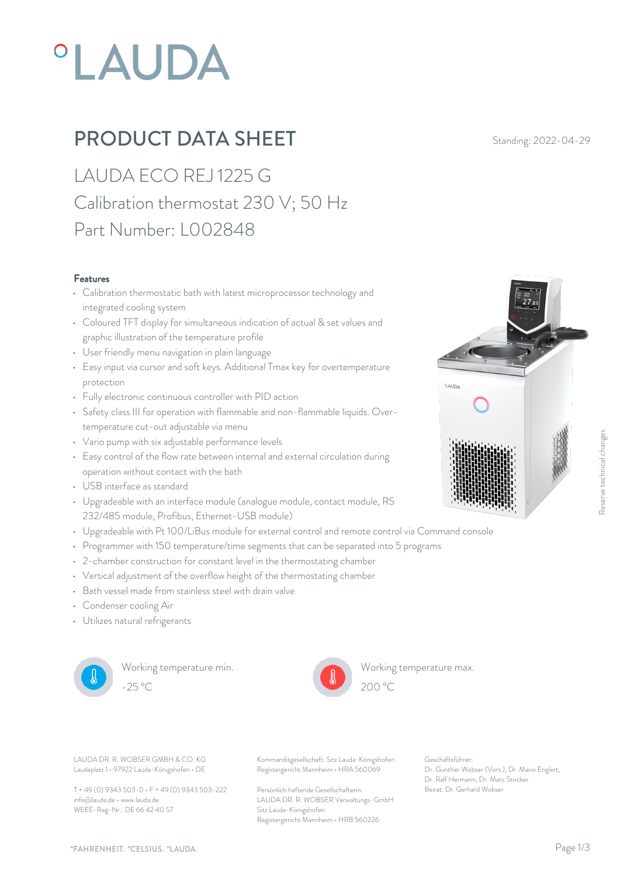# **°LAUDA**

## PRODUCT DATA SHEET Standing: 2022-04-29

LAUDA ECO REJ 1225 G Calibration thermostat 230 V; 50 Hz Part Number: L002848

#### Features

- Calibration thermostatic bath with latest microprocessor technology and integrated cooling system
- Coloured TFT display for simultaneous indication of actual & set values and graphic illustration of the temperature profile
- User friendly menu navigation in plain language
- Easy input via cursor and soft keys. Additional Tmax key for overtemperature protection
- Fully electronic continuous controller with PID action
- Safety class III for operation with flammable and non-flammable liquids. Overtemperature cut-out adjustable via menu
- Vario pump with six adjustable performance levels
- Easy control of the flow rate between internal and external circulation during operation without contact with the bath
- USB interface as standard
- Upgradeable with an interface module (analogue module, contact module, RS 232/485 module, Profibus, Ethernet-USB module)
- Upgradeable with Pt 100/LiBus module for external control and remote control via Command console
- Programmer with 150 temperature/time segments that can be separated into 5 programs
- 2-chamber construction for constant level in the thermostating chamber
- Vertical adjustment of the overflow height of the thermostating chamber
- Bath vessel made from stainless steel with drain valve
- Condenser cooling Air
- Utilizes natural refrigerants



Working temperature min. -25 °C 200 °C



Working temperature max.  $200\text{ °C}$ 

Laudaplatz 1 • 97922 Lauda-Königshofen • DE

T + 49 (0) 9343 503-0 • F + 49 (0) 9343 503-222 info@lauda.de • www.lauda.de WEEE-Reg-Nr.: DE 66 42 40 57

LAUDA DR. R. WOBSER GMBH & CO. KG Kommanditgesellschaft: Sitz Lauda-Königshofen Geschäftsführer: Registergericht Mannheim • HRA 560069

> Persönlich haftende Gesellschafterin: Beirat: Dr. Gerhard Wobse LAUDA DR. R. WOBSER Verwaltungs-GmbH Sitz Lauda-Königshofen Registergericht Mannheim • HRB 560226

Geschäftsführer: Dr. Gunther Wobser (Vors.), Dr. Mario Englert, Dr. Ralf Hermann, Dr. Marc Stricker

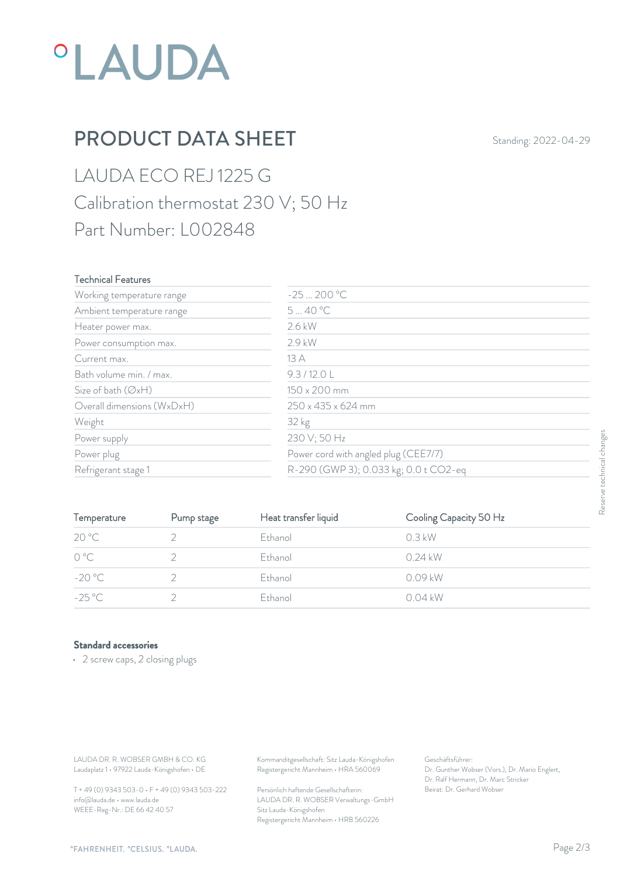## *°LAUDA*

## PRODUCT DATA SHEET Standing: 2022-04-29

LAUDA ECO REJ 1225 G Calibration thermostat 230 V; 50 Hz Part Number: L002848

#### Technical Features

| Working temperature range  | $-25200 °C$                           |       |
|----------------------------|---------------------------------------|-------|
| Ambient temperature range  | 540 °C                                |       |
| Heater power max.          | 2.6 kW                                |       |
| Power consumption max.     | 2.9 kW                                |       |
| Current max.               | 13A                                   |       |
| Bath volume min. / max.    | 9.3/12.0 L                            |       |
| Size of bath (ØxH)         | 150 x 200 mm                          |       |
| Overall dimensions (WxDxH) | $250 \times 435 \times 624$ mm        |       |
| Weight                     | 32 kg                                 |       |
| Power supply               | 230 V; 50 Hz                          |       |
| Power plug                 | Power cord with angled plug (CEE7/7)  | Terlo |
| Refrigerant stage 1        | R-290 (GWP 3); 0.033 kg; 0.0 t CO2-eq |       |

| Power supply                                                                     |                                                 | 230 V; 50 Hz                                                                           | Power cord with angled plug (CEE7/7)<br>R-290 (GWP 3); 0.033 kg; 0.0 t CO2-eq                             |                           |
|----------------------------------------------------------------------------------|-------------------------------------------------|----------------------------------------------------------------------------------------|-----------------------------------------------------------------------------------------------------------|---------------------------|
| Power plug                                                                       |                                                 |                                                                                        |                                                                                                           |                           |
| Refrigerant stage 1                                                              |                                                 |                                                                                        |                                                                                                           |                           |
|                                                                                  |                                                 |                                                                                        |                                                                                                           | Reserve technical changes |
| Temperature                                                                      | Pump stage                                      | Heat transfer liquid                                                                   | Cooling Capacity 50 Hz                                                                                    |                           |
| 20 °C                                                                            | 2                                               | Ethanol                                                                                | 0.3 kW                                                                                                    |                           |
| $0^{\circ}$ C                                                                    | $\overline{2}$                                  | Ethanol                                                                                | $0.24$ kW                                                                                                 |                           |
| $-20 °C$                                                                         | $\sqrt{2}$                                      | Ethanol                                                                                | 0.09 kW                                                                                                   |                           |
| $-25^{\circ}$ C                                                                  | $\overline{2}$                                  | Ethanol                                                                                | $0.04$ kW                                                                                                 |                           |
| <b>Standard accessories</b><br>• 2 screw caps, 2 closing plugs                   |                                                 |                                                                                        |                                                                                                           |                           |
|                                                                                  |                                                 |                                                                                        |                                                                                                           |                           |
| LAUDA DR. R. WOBSER GMBH & CO. KG<br>Laudaplatz 1 · 97922 Lauda-Königshofen · DE |                                                 | Kommanditgesellschaft: Sitz Lauda-Königshofen<br>Registergericht Mannheim · HRA 560069 | Geschäftsführer:<br>Dr. Gunther Wobser (Vors.), Dr. Mario Englert,<br>Dr. Ralf Hermann, Dr. Marc Stricker |                           |
|                                                                                  | T + 49 (0) 9343 503-0 · F + 49 (0) 9343 503-222 | Persönlich haftende Gesellschafterin:                                                  | Beirat: Dr. Gerhard Wobser                                                                                |                           |

#### Standard accessories

T + 49 (0) 9343 503-0 • F + 49 (0) 9343 503-222 info@lauda.de • www.lauda.de WEEE-Reg-Nr.: DE 66 42 40 57

> Persönlich haftende Gesellschafterin: Beirat: Dr. Gerhard Wobser LAUDA DR. R. WOBSER Verwaltungs-GmbH Sitz Lauda-Königshofen Registergericht Mannheim • HRB 560226

Geschäftsführer: Dr. Gunther Wobser (Vors.), Dr. Mario Englert, Dr. Ralf Hermann, Dr. Marc Stricker